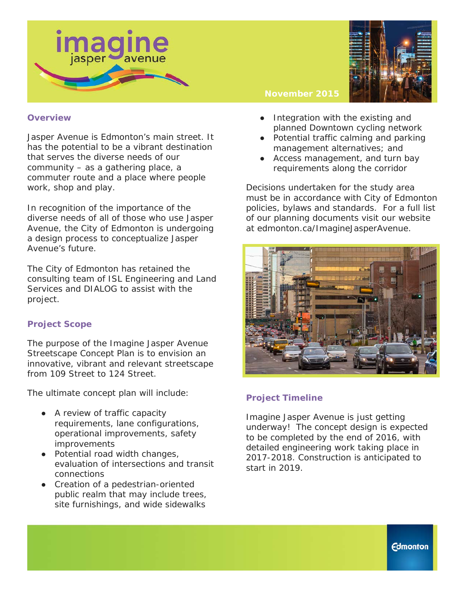



#### **Overview**

Jasper Avenue is Edmonton's main street. It has the potential to be a vibrant destination that serves the diverse needs of our community – as a gathering place, a commuter route and a place where people work, shop and play.

In recognition of the importance of the diverse needs of all of those who use Jasper Avenue, the City of Edmonton is undergoing a design process to conceptualize Jasper Avenue's future.

The City of Edmonton has retained the consulting team of ISL Engineering and Land Services and DIALOG to assist with the project.

## **Project Scope**

The purpose of the Imagine Jasper Avenue Streetscape Concept Plan is to envision an innovative, vibrant and relevant streetscape from 109 Street to 124 Street.

The ultimate concept plan will include:

- A review of traffic capacity requirements, lane configurations, operational improvements, safety improvements
- Potential road width changes, evaluation of intersections and transit connections
- Creation of a pedestrian-oriented public realm that may include trees, site furnishings, and wide sidewalks

#### **November 2015**

- Integration with the existing and planned Downtown cycling network
- Potential traffic calming and parking management alternatives; and
- Access management, and turn bay requirements along the corridor

Decisions undertaken for the study area must be in accordance with City of Edmonton policies, bylaws and standards. For a full list of our planning documents visit our website at edmonton.ca/ImagineJasperAvenue.



# **Project Timeline**

Imagine Jasper Avenue is just getting underway! The concept design is expected to be completed by the end of 2016, with detailed engineering work taking place in 2017-2018. Construction is anticipated to start in 2019.